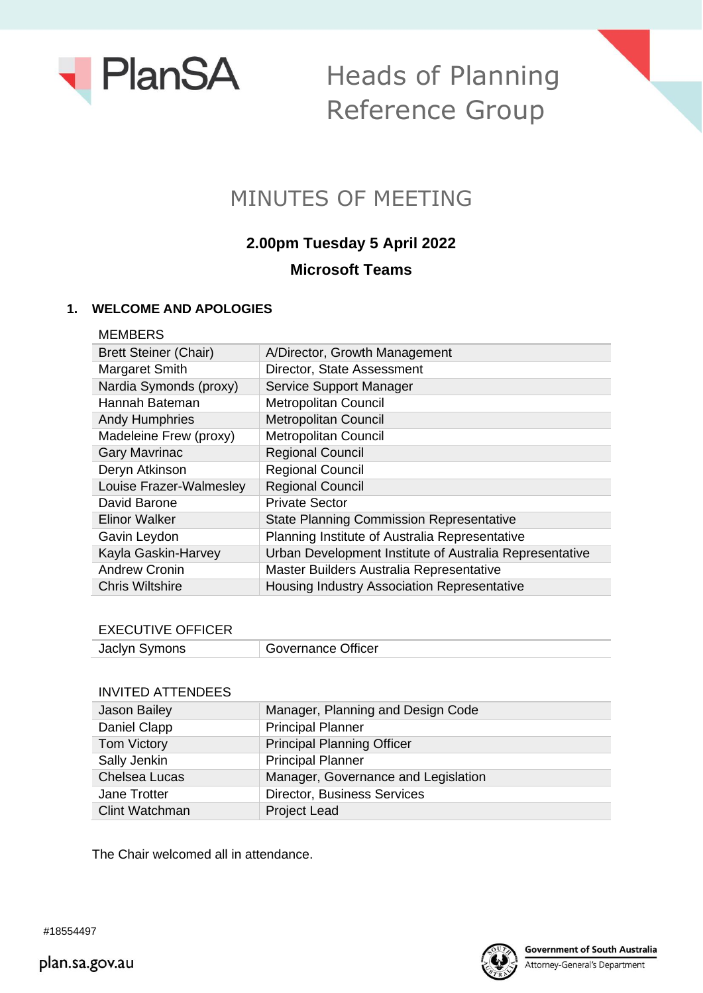

Heads of Planning Reference Group



# **2.00pm Tuesday 5 April 2022 Microsoft Teams**

#### **1. WELCOME AND APOLOGIES**

| A/Director, Growth Management                           |
|---------------------------------------------------------|
| Director, State Assessment                              |
| Service Support Manager                                 |
| <b>Metropolitan Council</b>                             |
| <b>Metropolitan Council</b>                             |
| <b>Metropolitan Council</b>                             |
| <b>Regional Council</b>                                 |
| <b>Regional Council</b>                                 |
| <b>Regional Council</b>                                 |
| <b>Private Sector</b>                                   |
| <b>State Planning Commission Representative</b>         |
| Planning Institute of Australia Representative          |
| Urban Development Institute of Australia Representative |
| Master Builders Australia Representative                |
| Housing Industry Association Representative             |
|                                                         |

#### EXECUTIVE OFFICER

#### INVITED ATTENDEES

| <b>Jason Bailey</b>   | Manager, Planning and Design Code   |
|-----------------------|-------------------------------------|
| Daniel Clapp          | <b>Principal Planner</b>            |
| Tom Victory           | <b>Principal Planning Officer</b>   |
| Sally Jenkin          | <b>Principal Planner</b>            |
| <b>Chelsea Lucas</b>  | Manager, Governance and Legislation |
| Jane Trotter          | <b>Director, Business Services</b>  |
| <b>Clint Watchman</b> | <b>Project Lead</b>                 |

The Chair welcomed all in attendance.



plan.sa.gov.au

#18554497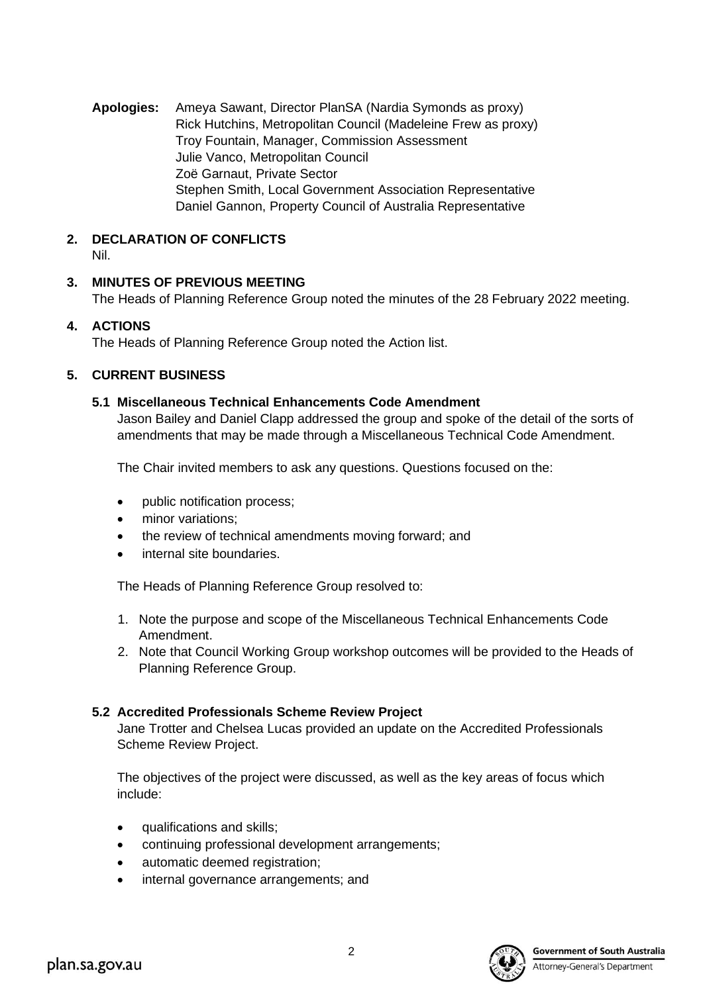**Apologies:** Ameya Sawant, Director PlanSA (Nardia Symonds as proxy) Rick Hutchins, Metropolitan Council (Madeleine Frew as proxy) Troy Fountain, Manager, Commission Assessment Julie Vanco, Metropolitan Council Zoë Garnaut, Private Sector Stephen Smith, Local Government Association Representative Daniel Gannon, Property Council of Australia Representative

#### **2. DECLARATION OF CONFLICTS** Nil.

## **3. MINUTES OF PREVIOUS MEETING**

The Heads of Planning Reference Group noted the minutes of the 28 February 2022 meeting.

## **4. ACTIONS**

The Heads of Planning Reference Group noted the Action list.

## **5. CURRENT BUSINESS**

#### **5.1 Miscellaneous Technical Enhancements Code Amendment**

Jason Bailey and Daniel Clapp addressed the group and spoke of the detail of the sorts of amendments that may be made through a Miscellaneous Technical Code Amendment.

The Chair invited members to ask any questions. Questions focused on the:

- public notification process;
- minor variations;
- the review of technical amendments moving forward; and
- internal site boundaries.

The Heads of Planning Reference Group resolved to:

- 1. Note the purpose and scope of the Miscellaneous Technical Enhancements Code Amendment.
- 2. Note that Council Working Group workshop outcomes will be provided to the Heads of Planning Reference Group.

## **5.2 Accredited Professionals Scheme Review Project**

Jane Trotter and Chelsea Lucas provided an update on the Accredited Professionals Scheme Review Project.

The objectives of the project were discussed, as well as the key areas of focus which include:

- qualifications and skills;
- continuing professional development arrangements;
- automatic deemed registration;
- internal governance arrangements; and



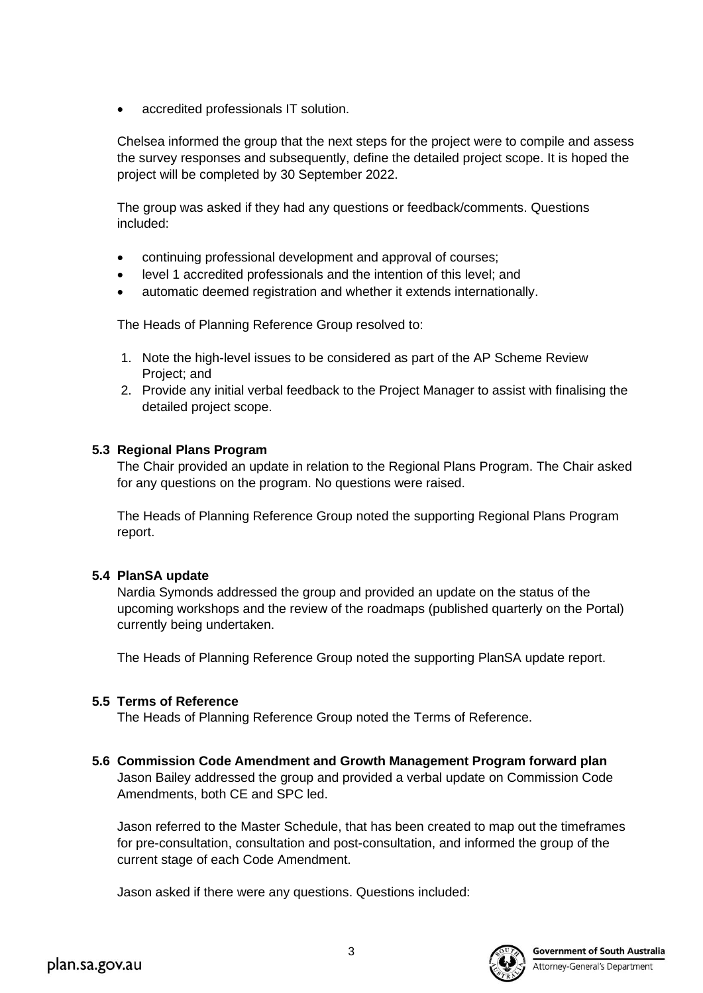• accredited professionals IT solution.

Chelsea informed the group that the next steps for the project were to compile and assess the survey responses and subsequently, define the detailed project scope. It is hoped the project will be completed by 30 September 2022.

The group was asked if they had any questions or feedback/comments. Questions included:

- continuing professional development and approval of courses;
- level 1 accredited professionals and the intention of this level; and
- automatic deemed registration and whether it extends internationally.

The Heads of Planning Reference Group resolved to:

- 1. Note the high-level issues to be considered as part of the AP Scheme Review Project; and
- 2. Provide any initial verbal feedback to the Project Manager to assist with finalising the detailed project scope.

## **5.3 Regional Plans Program**

The Chair provided an update in relation to the Regional Plans Program. The Chair asked for any questions on the program. No questions were raised.

The Heads of Planning Reference Group noted the supporting Regional Plans Program report.

## **5.4 PlanSA update**

Nardia Symonds addressed the group and provided an update on the status of the upcoming workshops and the review of the roadmaps (published quarterly on the Portal) currently being undertaken.

The Heads of Planning Reference Group noted the supporting PlanSA update report.

## **5.5 Terms of Reference**

The Heads of Planning Reference Group noted the Terms of Reference.

**5.6 Commission Code Amendment and Growth Management Program forward plan** Jason Bailey addressed the group and provided a verbal update on Commission Code Amendments, both CE and SPC led.

Jason referred to the Master Schedule, that has been created to map out the timeframes for pre-consultation, consultation and post-consultation, and informed the group of the current stage of each Code Amendment.

Jason asked if there were any questions. Questions included: